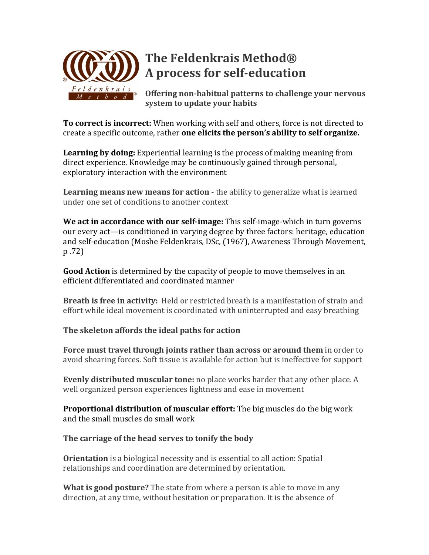

**Offering non-habitual patterns to challenge your nervous system to update your habits** 

**To correct is incorrect:** When working with self and others, force is not directed to create a specific outcome, rather **one elicits the person's ability to self organize.** 

**Learning by doing:** Experiential learning is the process of making meaning from direct experience. Knowledge may be continuously gained through personal, exploratory interaction with the environment

**Learning means new means for action** - the ability to generalize what is learned under one set of conditions to another context

**We act in accordance with our self-image:** This self-image-which in turn governs our every act—is conditioned in varying degree by three factors: heritage, education and self-education (Moshe Feldenkrais, DSc, (1967), Awareness Through Movement, p .72)

**Good Action** is determined by the capacity of people to move themselves in an efficient differentiated and coordinated manner

**Breath is free in activity:** Held or restricted breath is a manifestation of strain and effort while ideal movement is coordinated with uninterrupted and easy breathing

## **The skeleton affords the ideal paths for action**

**Force must travel through joints rather than across or around them** in order to avoid shearing forces. Soft tissue is available for action but is ineffective for support

**Evenly distributed muscular tone:** no place works harder that any other place. A well organized person experiences lightness and ease in movement

**Proportional distribution of muscular effort:** The big muscles do the big work and the small muscles do small work

## The carriage of the head serves to tonify the body

**Orientation** is a biological necessity and is essential to all action: Spatial relationships and coordination are determined by orientation.

**What is good posture?** The state from where a person is able to move in any direction, at any time, without hesitation or preparation. It is the absence of